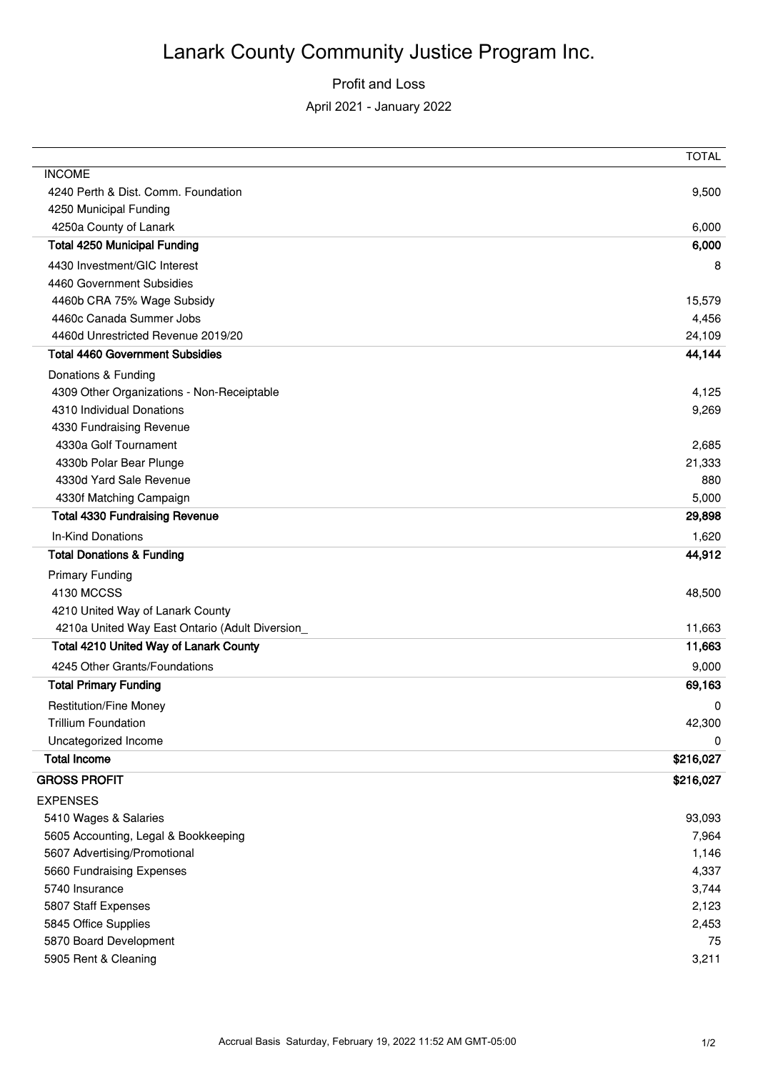# Lanark County Community Justice Program Inc.

### Profit and Loss

#### April 2021 - January 2022

|                                                                  | <b>TOTAL</b>    |
|------------------------------------------------------------------|-----------------|
| <b>INCOME</b>                                                    |                 |
| 4240 Perth & Dist, Comm. Foundation                              | 9,500           |
| 4250 Municipal Funding                                           |                 |
| 4250a County of Lanark                                           | 6,000           |
| <b>Total 4250 Municipal Funding</b>                              | 6,000           |
| 4430 Investment/GIC Interest                                     | 8               |
| 4460 Government Subsidies                                        |                 |
| 4460b CRA 75% Wage Subsidy                                       | 15,579          |
| 4460c Canada Summer Jobs                                         | 4,456           |
| 4460d Unrestricted Revenue 2019/20                               | 24,109          |
| <b>Total 4460 Government Subsidies</b>                           | 44,144          |
| Donations & Funding                                              |                 |
| 4309 Other Organizations - Non-Receiptable                       | 4,125           |
| 4310 Individual Donations                                        | 9,269           |
| 4330 Fundraising Revenue                                         |                 |
| 4330a Golf Tournament                                            | 2,685           |
| 4330b Polar Bear Plunge                                          | 21,333          |
| 4330d Yard Sale Revenue                                          | 880             |
| 4330f Matching Campaign<br><b>Total 4330 Fundraising Revenue</b> | 5,000<br>29,898 |
|                                                                  |                 |
| <b>In-Kind Donations</b><br><b>Total Donations &amp; Funding</b> | 1,620<br>44,912 |
|                                                                  |                 |
| <b>Primary Funding</b><br>4130 MCCSS                             | 48,500          |
| 4210 United Way of Lanark County                                 |                 |
| 4210a United Way East Ontario (Adult Diversion                   | 11,663          |
| Total 4210 United Way of Lanark County                           | 11,663          |
| 4245 Other Grants/Foundations                                    | 9,000           |
| <b>Total Primary Funding</b>                                     | 69,163          |
|                                                                  |                 |
| <b>Restitution/Fine Money</b><br><b>Trillium Foundation</b>      | 0               |
| Uncategorized Income                                             | 42,300<br>0     |
| <b>Total Income</b>                                              | \$216,027       |
| <b>GROSS PROFIT</b>                                              |                 |
|                                                                  | \$216,027       |
| <b>EXPENSES</b>                                                  |                 |
| 5410 Wages & Salaries                                            | 93,093<br>7,964 |
| 5605 Accounting, Legal & Bookkeeping                             |                 |
| 5607 Advertising/Promotional<br>5660 Fundraising Expenses        | 1,146<br>4,337  |
| 5740 Insurance                                                   | 3,744           |
| 5807 Staff Expenses                                              | 2,123           |
| 5845 Office Supplies                                             | 2,453           |
| 5870 Board Development                                           | 75              |
| 5905 Rent & Cleaning                                             | 3,211           |
|                                                                  |                 |